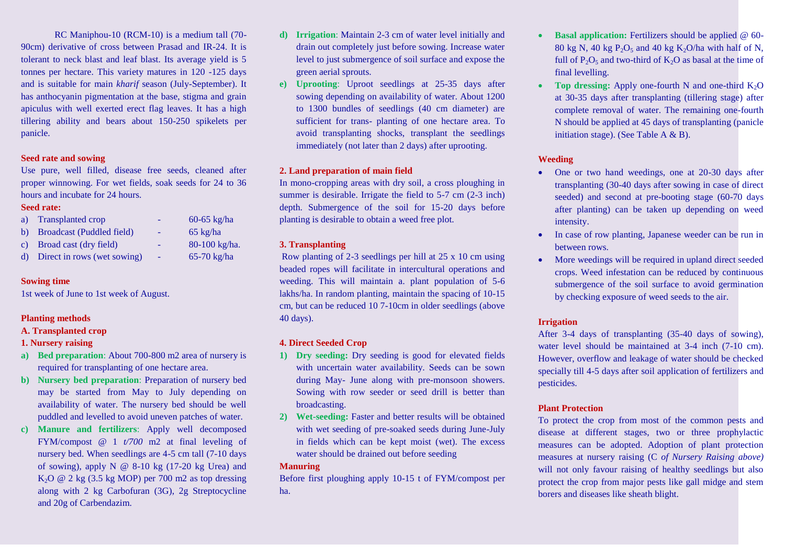RC Maniphou-10 (RCM-10) is a medium tall (70- 90cm) derivative of cross between Prasad and IR-24. It is tolerant to neck blast and leaf blast. Its average yield is 5 tonnes per hectare. This variety matures in 120 -125 days and is suitable for main *kharif* season (July-September). It has anthocyanin pigmentation at the base, stigma and grain apiculus with well exerted erect flag leaves. It has a high tillering ability and bears about 150-250 spikelets per panicle.

## **Seed rate and sowing**

Use pure, well filled, disease free seeds, cleaned after proper winnowing. For wet fields, soak seeds for 24 to 36 hours and incubate for 24 hours.

## **Seed rate:**

| a) Transplanted crop           | -  | $60-65$ kg/ha         |
|--------------------------------|----|-----------------------|
| b) Broadcast (Puddled field)   | ÷  | $65 \text{ kg/ha}$    |
| c) Broad cast (dry field)      | -  | $80-100$ kg/ha.       |
| d) Direct in rows (wet sowing) | ×. | $65-70 \text{ kg/ha}$ |

## **Sowing time**

1st week of June to 1st week of August.

# **Planting methods**

## **A. Transplanted crop**

# **1. Nursery raising**

- **a) Bed preparation**: About 700-800 m2 area of nursery is required for transplanting of one hectare area.
- **b) Nursery bed preparation**: Preparation of nursery bed may be started from May to July depending on availability of water. The nursery bed should be well puddled and levelled to avoid uneven patches of water.
- **c) Manure and fertilizers**: Apply well decomposed FYM/compost @ 1 *t/700* m2 at final leveling of nursery bed. When seedlings are 4-5 cm tall (7-10 days of sowing), apply  $N \varnothing 8$ -10 kg (17-20 kg Urea) and K<sub>2</sub>O @ 2 kg (3.5 kg MOP) per 700 m2 as top dressing along with 2 kg Carbofuran (3G), 2g Streptocycline and 20g of Carbendazim.
- **d) Irrigation**: Maintain 2-3 cm of water level initially and drain out completely just before sowing. Increase water level to just submergence of soil surface and expose the green aerial sprouts.
- **e) Uprooting**: Uproot seedlings at 25-35 days after sowing depending on availability of water. About 1200 to 1300 bundles of seedlings (40 cm diameter) are sufficient for trans- planting of one hectare area. To avoid transplanting shocks, transplant the seedlings immediately (not later than 2 days) after uprooting.

## **2. Land preparation of main field**

In mono-cropping areas with dry soil, a cross ploughing in summer is desirable. Irrigate the field to 5-7 cm  $(2-3$  inch) depth. Submergence of the soil for 15-20 days before planting is desirable to obtain a weed free plot.

# **3. Transplanting**

Row planting of 2-3 seedlings per hill at 25 x 10 cm using beaded ropes will facilitate in intercultural operations and weeding. This will maintain a. plant population of 5-6 lakhs/ha. In random planting, maintain the spacing of 10-15 cm, but can be reduced 10 7-10cm in older seedlings (above 40 days).

## **4. Direct Seeded Crop**

- **1) Dry seeding:** Dry seeding is good for elevated fields with uncertain water availability. Seeds can be sown during May- June along with pre-monsoon showers. Sowing with row seeder or seed drill is better than broadcasting.
- **2) Wet-seeding:** Faster and better results will be obtained with wet seeding of pre-soaked seeds during June-July in fields which can be kept moist (wet). The excess water should be drained out before seeding

#### **Manuring**

Before first ploughing apply 10-15 t of FYM/compost per ha.

- **Basal application:** Fertilizers should be applied @ 60- 80 kg N, 40 kg  $P_2O_5$  and 40 kg K<sub>2</sub>O/ha with half of N, full of  $P_2O_5$  and two-third of  $K_2O$  as basal at the time of final levelling.
- Top dressing: Apply one-fourth N and one-third  $K_2O$ at 30-35 days after transplanting (tillering stage) after complete removal of water. The remaining one-fourth N should be applied at 45 days of transplanting (panicle initiation stage). (See Table A & B).

#### **Weeding**

- One or two hand weedings, one at 20-30 days after transplanting (30-40 days after sowing in case of direct seeded) and second at pre-booting stage (60-70 days after planting) can be taken up depending on weed intensity.
- In case of row planting, Japanese weeder can be run in between rows.
- More weedings will be required in upland direct seeded crops. Weed infestation can be reduced by continuous submergence of the soil surface to avoid germination by checking exposure of weed seeds to the air.

# **Irrigation**

After 3-4 days of transplanting (35-40 days of sowing), water level should be maintained at 3-4 inch  $(7-10 \text{ cm})$ . However, overflow and leakage of water should be checked specially till 4-5 days after soil application of fertilizers and pesticides.

#### **Plant Protection**

To protect the crop from most of the common pests and disease at different stages, two or three prophylactic measures can be adopted. Adoption of plant protection measures at nursery raising (C *of Nursery Raising above)*  will not only favour raising of healthy seedlings but also protect the crop from major pests like gall midge and stem borers and diseases like sheath blight.